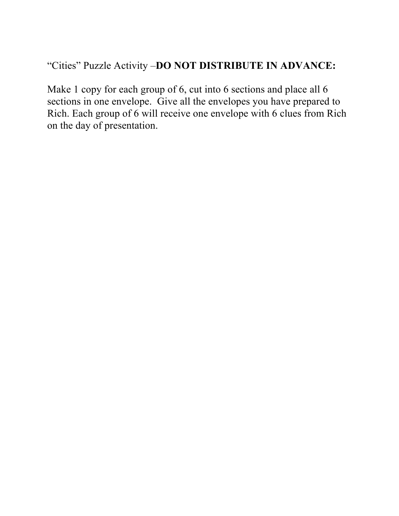## "Cities" Puzzle Activity –**DO NOT DISTRIBUTE IN ADVANCE:**

Make 1 copy for each group of 6, cut into 6 sections and place all 6 sections in one envelope. Give all the envelopes you have prepared to Rich. Each group of 6 will receive one envelope with 6 clues from Rich on the day of presentation.